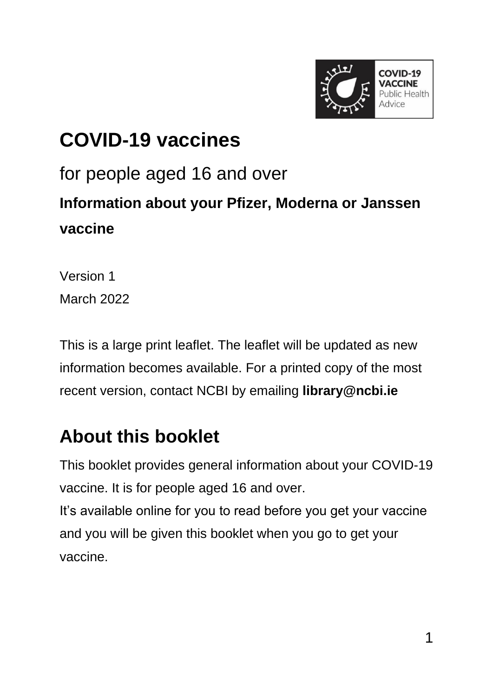

# **COVID-19 vaccines** for people aged 16 and over **Information about your Pfizer, Moderna or Janssen vaccine**

Version 1 March 2022

This is a large print leaflet. The leaflet will be updated as new information becomes available. For a printed copy of the most recent version, contact NCBI by emailing **[library@ncbi.ie](mailto:library@ncbi.ie)**

# **About this booklet**

This booklet provides general information about your COVID-19 vaccine. It is for people aged 16 and over. It's available online for you to read before you get your vaccine and you will be given this booklet when you go to get your

vaccine.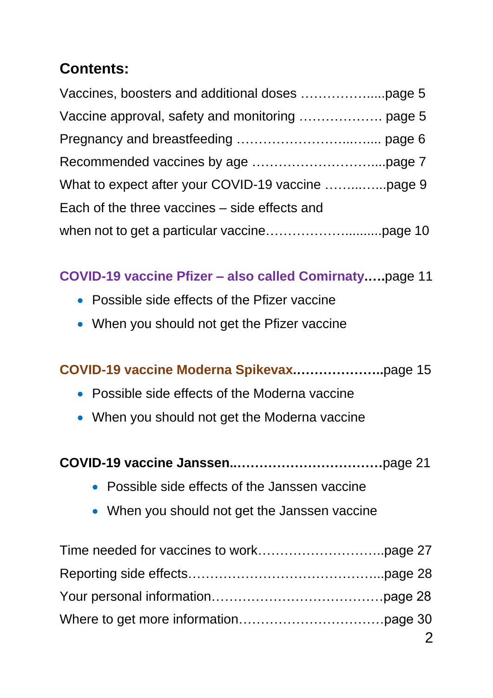# **Contents:**

| Each of the three vaccines – side effects and |  |
|-----------------------------------------------|--|
|                                               |  |

#### **COVID-19 vaccine Pfizer – also called Comirnaty.….**page 11

- Possible side effects of the Pfizer vaccine
- When you should not get the Pfizer vaccine

#### **COVID-19 vaccine Moderna Spikevax.………………..**page 15

- Possible side effects of the Moderna vaccine
- When you should not get the Moderna vaccine
- **COVID-19 vaccine Janssen..……………………………**page 21
	- Possible side effects of the Janssen vaccine
	- When you should not get the Janssen vaccine

| - 2 |
|-----|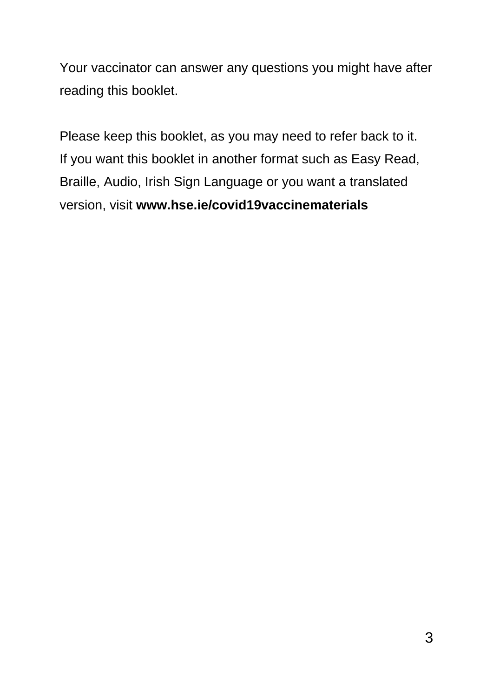Your vaccinator can answer any questions you might have after reading this booklet.

Please keep this booklet, as you may need to refer back to it. If you want this booklet in another format such as Easy Read, Braille, Audio, Irish Sign Language or you want a translated version, visit **[www.hse.ie/covid19vaccinematerials](https://www.hse.ie/eng/services/covid-19-resources-and-translations/covid-19-vaccine-materials)**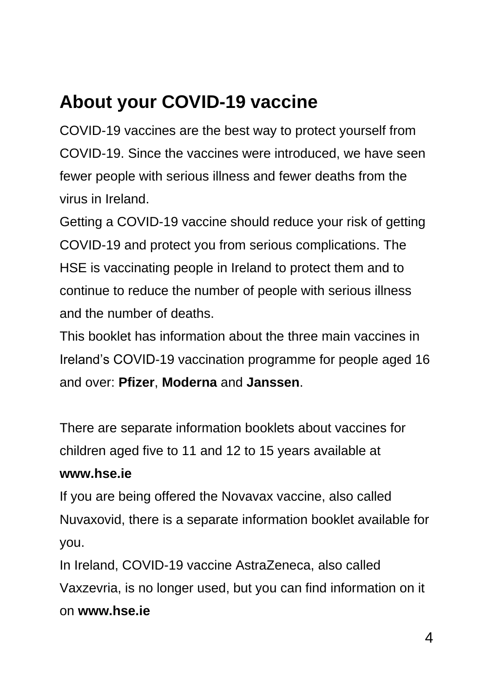# **About your COVID-19 vaccine**

COVID-19 vaccines are the best way to protect yourself from COVID-19. Since the vaccines were introduced, we have seen fewer people with serious illness and fewer deaths from the virus in Ireland.

Getting a COVID-19 vaccine should reduce your risk of getting COVID-19 and protect you from serious complications. The HSE is vaccinating people in Ireland to protect them and to continue to reduce the number of people with serious illness and the number of deaths.

This booklet has information about the three main vaccines in Ireland's COVID-19 vaccination programme for people aged 16 and over: **Pfizer**, **Moderna** and **Janssen**.

There are separate information booklets about vaccines for children aged five to 11 and 12 to 15 years available at **[www.hse.ie](https://www.hse.ie/eng/)**

If you are being offered the Novavax vaccine, also called Nuvaxovid, there is a separate information booklet available for you.

In Ireland, COVID-19 vaccine AstraZeneca, also called Vaxzevria, is no longer used, but you can find information on it on **ww[w.hse.ie](https://www.hse.ie/eng/)**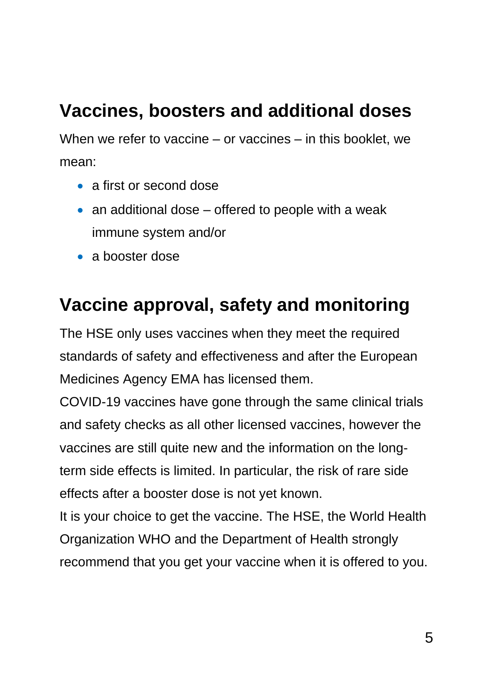# **Vaccines, boosters and additional doses**

When we refer to vaccine – or vaccines – in this booklet, we mean:

- a first or second dose
- $\bullet$  an additional dose offered to people with a weak immune system and/or
- a booster dose

# **Vaccine approval, safety and monitoring**

The HSE only uses vaccines when they meet the required standards of safety and effectiveness and after the European Medicines Agency EMA has licensed them.

COVID-19 vaccines have gone through the same clinical trials and safety checks as all other licensed vaccines, however the vaccines are still quite new and the information on the longterm side effects is limited. In particular, the risk of rare side effects after a booster dose is not yet known.

It is your choice to get the vaccine. The HSE, the World Health Organization WHO and the Department of Health strongly recommend that you get your vaccine when it is offered to you.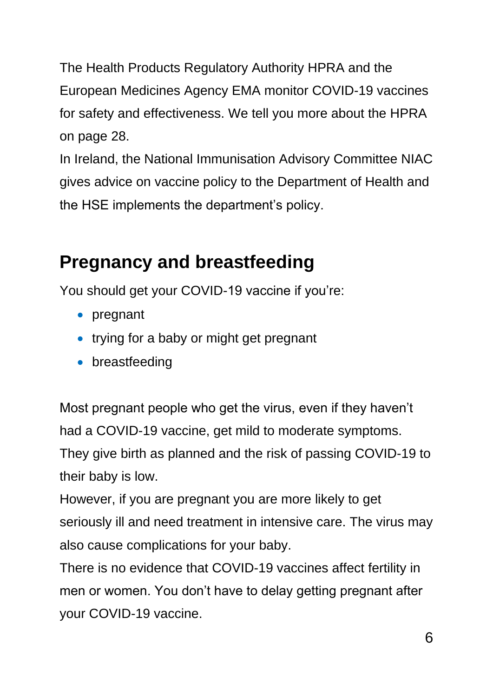The Health Products Regulatory Authority HPRA and the European Medicines Agency EMA monitor COVID-19 vaccines for safety and effectiveness. We tell you more about the HPRA on page 28.

In Ireland, the National Immunisation Advisory Committee NIAC gives advice on vaccine policy to the Department of Health and the HSE implements the department's policy.

# **Pregnancy and breastfeeding**

You should get your COVID-19 vaccine if you're:

- pregnant
- trying for a baby or might get pregnant
- breastfeeding

Most pregnant people who get the virus, even if they haven't had a COVID-19 vaccine, get mild to moderate symptoms. They give birth as planned and the risk of passing COVID-19 to their baby is low.

However, if you are pregnant you are more likely to get seriously ill and need treatment in intensive care. The virus may also cause complications for your baby.

There is no evidence that COVID-19 vaccines affect fertility in men or women. You don't have to delay getting pregnant after your COVID-19 vaccine.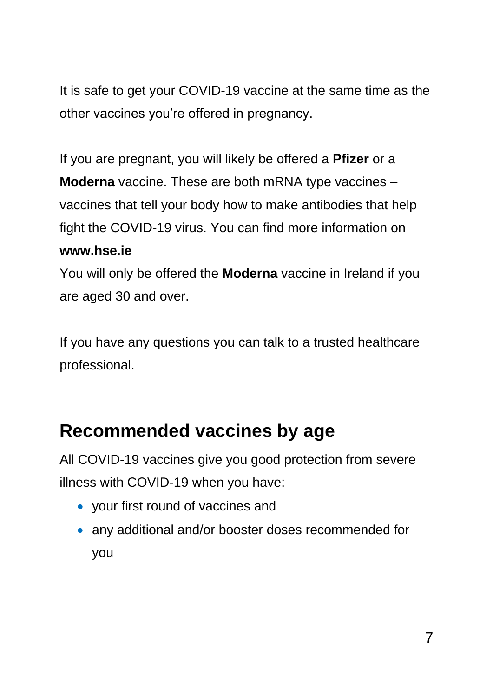It is safe to get your COVID-19 vaccine at the same time as the other vaccines you're offered in pregnancy.

If you are pregnant, you will likely be offered a **Pfizer** or a **Moderna** vaccine. These are both mRNA type vaccines – vaccines that tell your body how to make antibodies that help fight the COVID-19 virus. You can find more information on **[www.hse.ie](https://www.hse.ie/eng/)**

You will only be offered the **Moderna** vaccine in Ireland if you are aged 30 and over.

If you have any questions you can talk to a trusted healthcare professional.

# **Recommended vaccines by age**

All COVID-19 vaccines give you good protection from severe illness with COVID-19 when you have:

- your first round of vaccines and
- any additional and/or booster doses recommended for you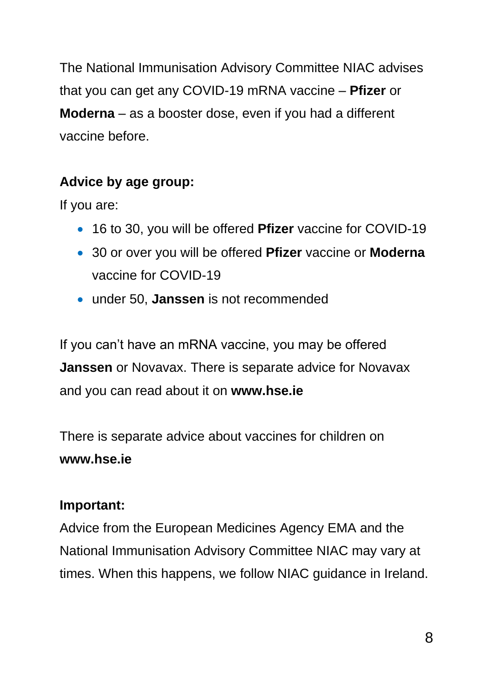The National Immunisation Advisory Committee NIAC advises that you can get any COVID-19 mRNA vaccine – **Pfizer** or **Moderna** – as a booster dose, even if you had a different vaccine before.

### **Advice by age group:**

If you are:

- 16 to 30, you will be offered **Pfizer** vaccine for COVID-19
- 30 or over you will be offered **Pfizer** vaccine or **Moderna** vaccine for COVID-19
- under 50, **Janssen** is not recommended

If you can't have an mRNA vaccine, you may be offered **Janssen** or Novavax. There is separate advice for Novavax and you can read about it on **[www.hse.ie](http://www.hse.ie/)**

There is separate advice about vaccines for children on **[www.hse.ie](http://www.hse.ie/)**

### **Important:**

Advice from the European Medicines Agency EMA and the National Immunisation Advisory Committee NIAC may vary at times. When this happens, we follow NIAC guidance in Ireland.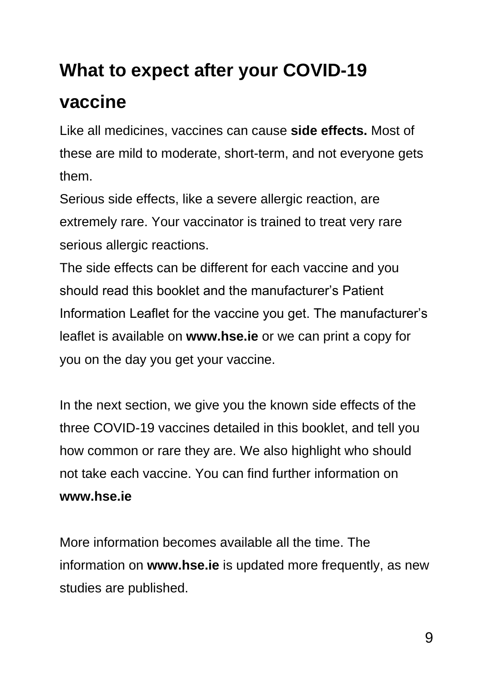# **What to expect after your COVID-19**

# **vaccine**

Like all medicines, vaccines can cause **side effects.** Most of these are mild to moderate, short-term, and not everyone gets them.

Serious side effects, like a severe allergic reaction, are extremely rare. Your vaccinator is trained to treat very rare serious allergic reactions.

The side effects can be different for each vaccine and you should read this booklet and the manufacturer's Patient Information Leaflet for the vaccine you get. The manufacturer's leaflet is available on **ww[w.hse.ie](https://www.hse.ie/eng/)** or we can print a copy for you on the day you get your vaccine.

In the next section, we give you the known side effects of the three COVID-19 vaccines detailed in this booklet, and tell you how common or rare they are. We also highlight who should not take each vaccine. You can find further information on **ww[w.hse.ie](https://www.hse.ie/eng/)**

More information becomes available all the time. The information on **ww[w.hse.ie](https://www.hse.ie/eng/)** is updated more frequently, as new studies are published.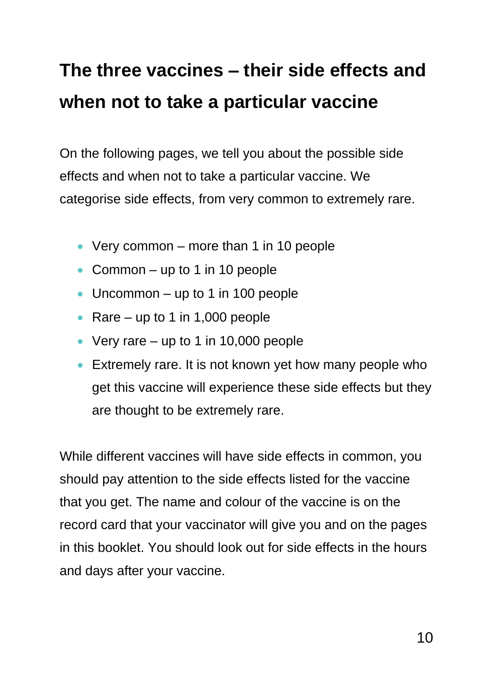# **The three vaccines – their side effects and when not to take a particular vaccine**

On the following pages, we tell you about the possible side effects and when not to take a particular vaccine. We categorise side effects, from very common to extremely rare.

- Very common more than 1 in 10 people
- Common up to 1 in 10 people
- Uncommon up to 1 in 100 people
- Rare up to 1 in 1,000 people
- Very rare up to 1 in 10,000 people
- **Extremely rare. It is not known yet how many people who** get this vaccine will experience these side effects but they are thought to be extremely rare.

While different vaccines will have side effects in common, you should pay attention to the side effects listed for the vaccine that you get. The name and colour of the vaccine is on the record card that your vaccinator will give you and on the pages in this booklet. You should look out for side effects in the hours and days after your vaccine.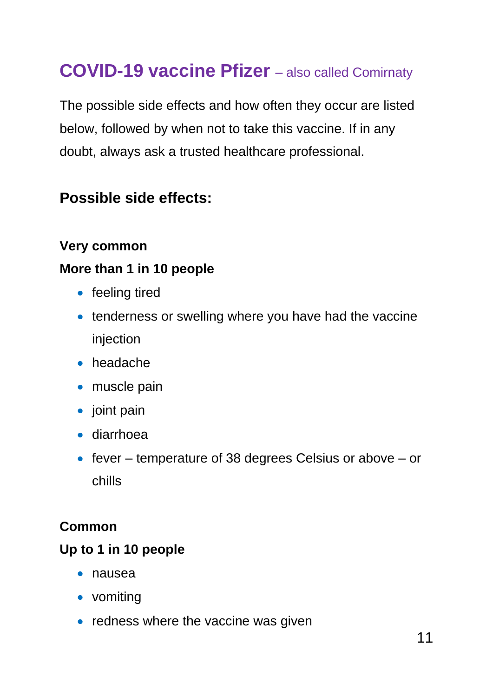# **COVID-19 vaccine Pfizer** *–* also called Comirnaty

The possible side effects and how often they occur are listed below, followed by when not to take this vaccine. If in any doubt, always ask a trusted healthcare professional.

# **Possible side effects:**

#### **Very common**

#### **More than 1 in 10 people**

- feeling tired
- tenderness or swelling where you have had the vaccine injection
- headache
- muscle pain
- joint pain
- diarrhoea
- fever temperature of 38 degrees Celsius or above or chills

#### **Common**

#### **Up to 1 in 10 people**

- nausea
- vomiting
- $\bullet$  redness where the vaccine was given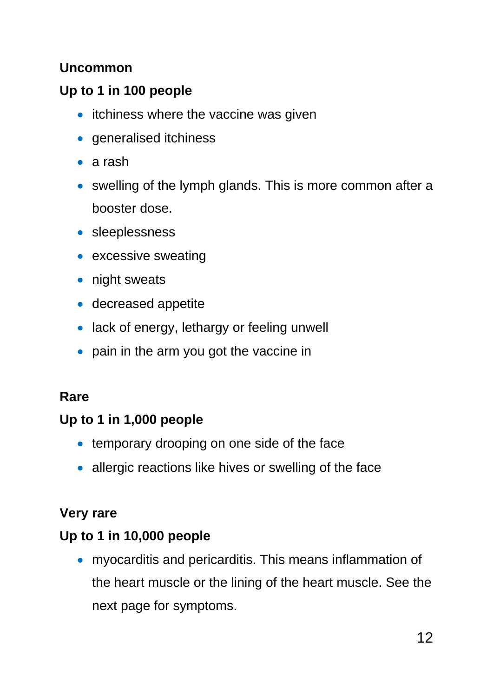#### **Uncommon**

### **Up to 1 in 100 people**

- itchiness where the vaccine was given
- generalised itchiness
- a rash
- swelling of the lymph glands. This is more common after a booster dose.
- **·** sleeplessness
- excessive sweating
- night sweats
- decreased appetite
- lack of energy, lethargy or feeling unwell
- pain in the arm you got the vaccine in

#### **Rare**

#### **Up to 1 in 1,000 people**

- temporary drooping on one side of the face
- allergic reactions like hives or swelling of the face

#### **Very rare**

#### **Up to 1 in 10,000 people**

 myocarditis and pericarditis. This means inflammation of the heart muscle or the lining of the heart muscle. See the next page for symptoms.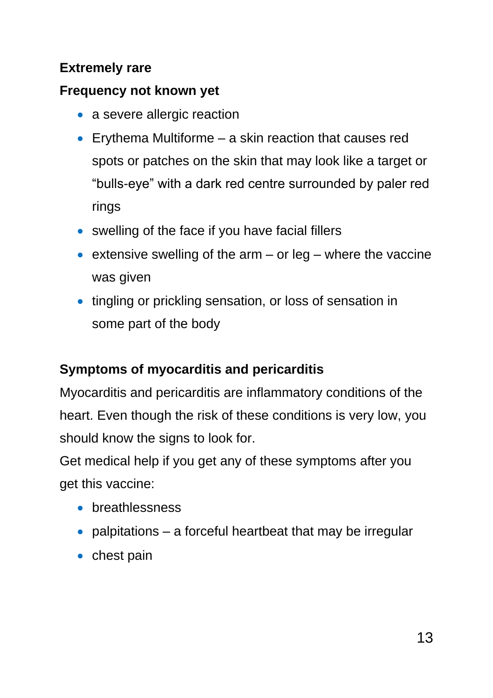### **Extremely rare**

#### **Frequency not known yet**

- a severe allergic reaction
- Erythema Multiforme a skin reaction that causes red spots or patches on the skin that may look like a target or "bulls-eye" with a dark red centre surrounded by paler red rings
- swelling of the face if you have facial fillers
- extensive swelling of the arm or leg where the vaccine was given
- tingling or prickling sensation, or loss of sensation in some part of the body

# **Symptoms of myocarditis and pericarditis**

Myocarditis and pericarditis are inflammatory conditions of the heart. Even though the risk of these conditions is very low, you should know the signs to look for.

Get medical help if you get any of these symptoms after you get this vaccine:

- **•** breathlessness
- palpitations a forceful heartbeat that may be irregular
- $\bullet$  chest pain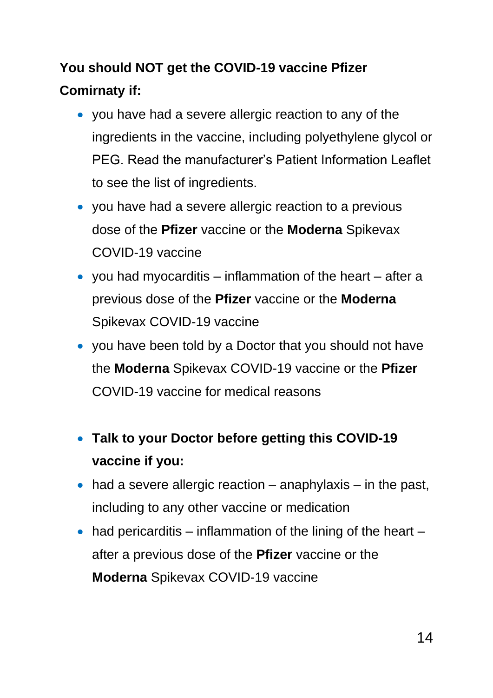# **You should NOT get the COVID-19 vaccine Pfizer Comirnaty if:**

- you have had a severe allergic reaction to any of the ingredients in the vaccine, including polyethylene glycol or PEG. Read the manufacturer's Patient Information Leaflet to see the list of ingredients.
- you have had a severe allergic reaction to a previous dose of the **Pfizer** vaccine or the **Moderna** Spikevax COVID-19 vaccine
- you had myocarditis  $-$  inflammation of the heart  $-$  after a previous dose of the **Pfizer** vaccine or the **Moderna** Spikevax COVID-19 vaccine
- you have been told by a Doctor that you should not have the **Moderna** Spikevax COVID-19 vaccine or the **Pfizer**  COVID-19 vaccine for medical reasons
- **Talk to your Doctor before getting this COVID-19 vaccine if you:**
- $\bullet$  had a severe allergic reaction anaphylaxis in the past, including to any other vaccine or medication
- $\bullet$  had pericarditis inflammation of the lining of the heart after a previous dose of the **Pfizer** vaccine or the **Moderna** Spikevax COVID-19 vaccine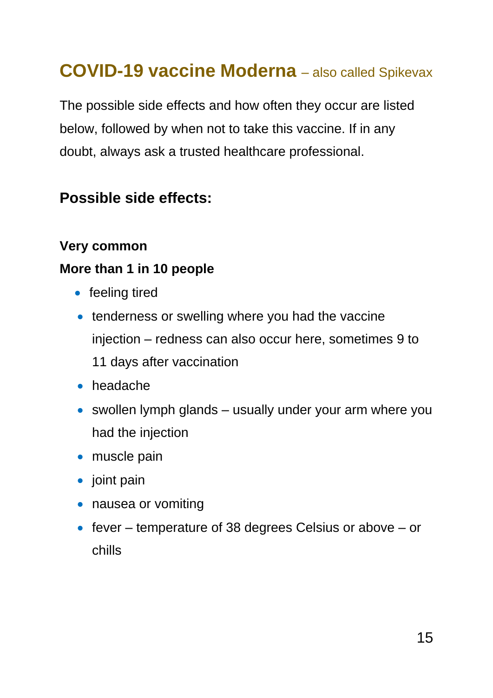# **COVID-19 vaccine Moderna** *–* also called Spikevax

The possible side effects and how often they occur are listed below, followed by when not to take this vaccine. If in any doubt, always ask a trusted healthcare professional.

### **Possible side effects:**

#### **Very common**

#### **More than 1 in 10 people**

- feeling tired
- tenderness or swelling where you had the vaccine injection – redness can also occur here, sometimes 9 to 11 days after vaccination
- headache
- swollen lymph glands usually under your arm where you had the injection
- muscle pain
- $\bullet$  joint pain
- nausea or vomiting
- $\bullet$  fever temperature of 38 degrees Celsius or above or chills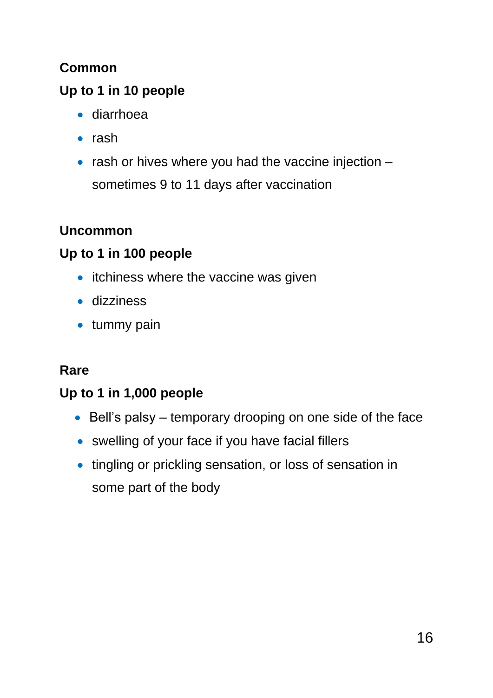### **Common**

# **Up to 1 in 10 people**

- diarrhoea
- $\bullet$  rash
- $\bullet$  rash or hives where you had the vaccine injection  $$ sometimes 9 to 11 days after vaccination

### **Uncommon**

### **Up to 1 in 100 people**

- itchiness where the vaccine was given
- dizziness
- tummy pain

### **Rare**

### **Up to 1 in 1,000 people**

- Bell's palsy temporary drooping on one side of the face
- swelling of your face if you have facial fillers
- tingling or prickling sensation, or loss of sensation in some part of the body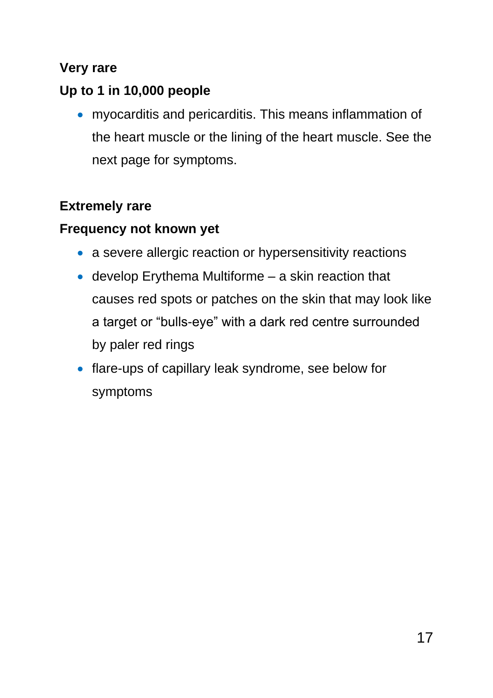#### **Very rare**

### **Up to 1 in 10,000 people**

 myocarditis and pericarditis. This means inflammation of the heart muscle or the lining of the heart muscle. See the next page for symptoms.

### **Extremely rare**

### **Frequency not known yet**

- a severe allergic reaction or hypersensitivity reactions
- develop Erythema Multiforme a skin reaction that causes red spots or patches on the skin that may look like a target or "bulls-eye" with a dark red centre surrounded by paler red rings
- flare-ups of capillary leak syndrome, see below for symptoms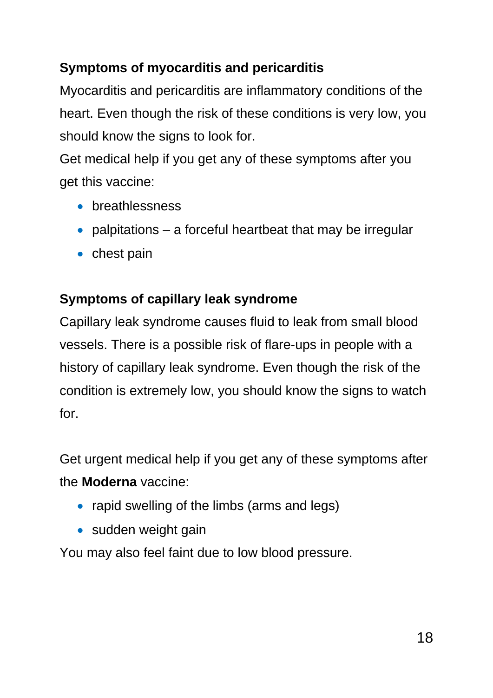### **Symptoms of myocarditis and pericarditis**

Myocarditis and pericarditis are inflammatory conditions of the heart. Even though the risk of these conditions is very low, you should know the signs to look for.

Get medical help if you get any of these symptoms after you get this vaccine:

- **•** breathlessness
- palpitations  $-$  a forceful heartbeat that may be irregular
- $\bullet$  chest pain

#### **Symptoms of capillary leak syndrome**

Capillary leak syndrome causes fluid to leak from small blood vessels. There is a possible risk of flare-ups in people with a history of capillary leak syndrome. Even though the risk of the condition is extremely low, you should know the signs to watch for.

Get urgent medical help if you get any of these symptoms after the **Moderna** vaccine:

- rapid swelling of the limbs (arms and legs)
- sudden weight gain

You may also feel faint due to low blood pressure.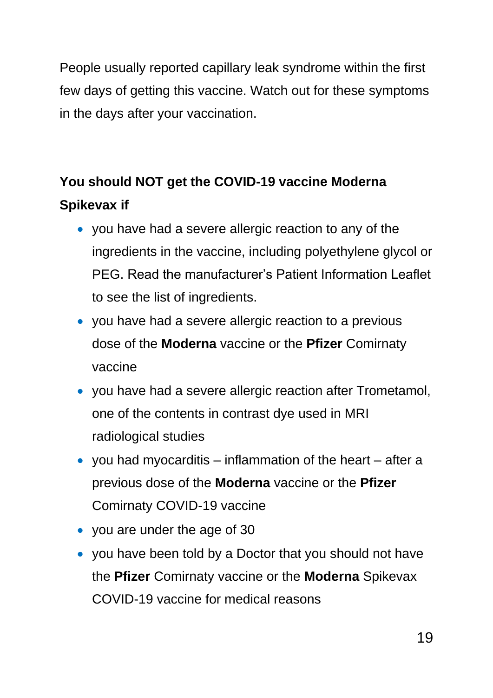People usually reported capillary leak syndrome within the first few days of getting this vaccine. Watch out for these symptoms in the days after your vaccination.

# **You should NOT get the COVID-19 vaccine Moderna Spikevax if**

- you have had a severe allergic reaction to any of the ingredients in the vaccine, including polyethylene glycol or PEG. Read the manufacturer's Patient Information Leaflet to see the list of ingredients.
- you have had a severe allergic reaction to a previous dose of the **Moderna** vaccine or the **Pfizer** Comirnaty vaccine
- you have had a severe allergic reaction after Trometamol, one of the contents in contrast dye used in MRI radiological studies
- you had myocarditis inflammation of the heart after a previous dose of the **Moderna** vaccine or the **Pfizer** Comirnaty COVID-19 vaccine
- you are under the age of 30
- you have been told by a Doctor that you should not have the **Pfizer** Comirnaty vaccine or the **Moderna** Spikevax COVID-19 vaccine for medical reasons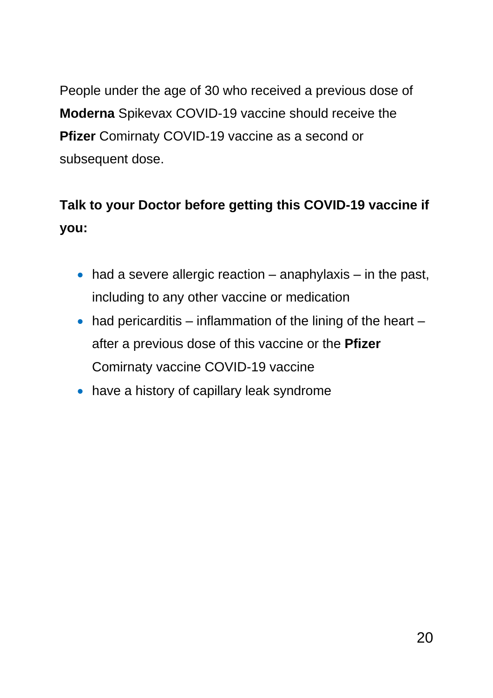People under the age of 30 who received a previous dose of **Moderna** Spikevax COVID-19 vaccine should receive the **Pfizer** Comirnaty COVID-19 vaccine as a second or subsequent dose.

# **Talk to your Doctor before getting this COVID-19 vaccine if you:**

- $\bullet$  had a severe allergic reaction anaphylaxis in the past, including to any other vaccine or medication
- $\bullet$  had pericarditis inflammation of the lining of the heart after a previous dose of this vaccine or the **Pfizer** Comirnaty vaccine COVID-19 vaccine
- have a history of capillary leak syndrome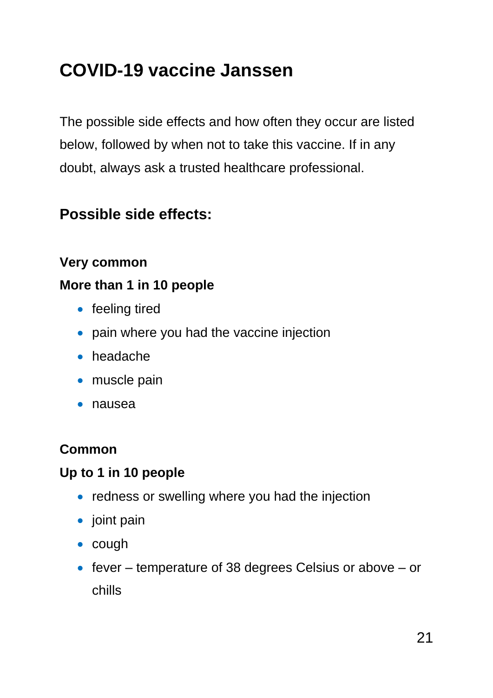# **COVID-19 vaccine Janssen**

The possible side effects and how often they occur are listed below, followed by when not to take this vaccine. If in any doubt, always ask a trusted healthcare professional.

# **Possible side effects:**

#### **Very common**

#### **More than 1 in 10 people**

- feeling tired
- pain where you had the vaccine injection
- headache
- muscle pain
- nausea

#### **Common**

#### **Up to 1 in 10 people**

- redness or swelling where you had the injection
- $\bullet$  joint pain
- $\bullet$  cough
- $\bullet$  fever temperature of 38 degrees Celsius or above or chills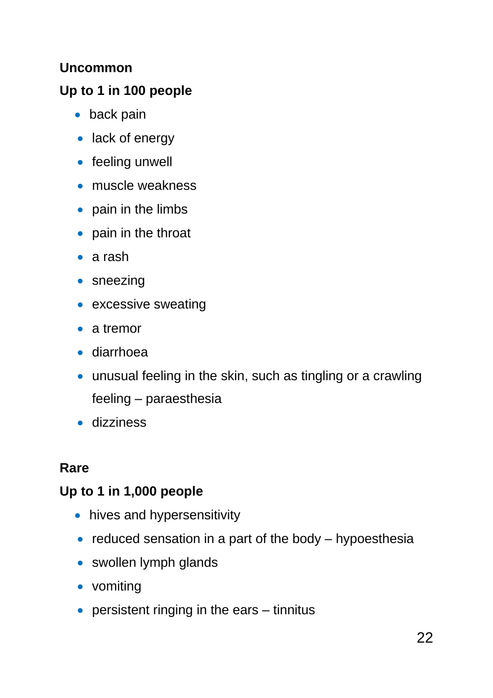#### **Uncommon**

### **Up to 1 in 100 people**

- back pain
- lack of energy
- feeling unwell
- muscle weakness
- pain in the limbs
- pain in the throat
- a rash
- sneezing
- excessive sweating
- a tremor
- diarrhoea
- unusual feeling in the skin, such as tingling or a crawling feeling – paraesthesia
- dizziness

### **Rare**

### **Up to 1 in 1,000 people**

- hives and hypersensitivity
- $\bullet$  reduced sensation in a part of the body hypoesthesia
- swollen lymph glands
- vomiting
- persistent ringing in the ears tinnitus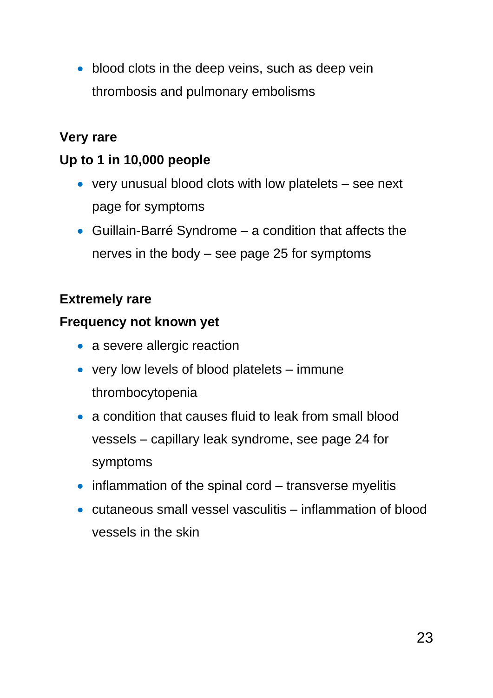• blood clots in the deep veins, such as deep vein thrombosis and pulmonary embolisms

#### **Very rare**

#### **Up to 1 in 10,000 people**

- very unusual blood clots with low platelets see next page for symptoms
- Guillain-Barré Syndrome a condition that affects the nerves in the body – see page 25 for symptoms

### **Extremely rare**

#### **Frequency not known yet**

- a severe allergic reaction
- very low levels of blood platelets immune thrombocytopenia
- a condition that causes fluid to leak from small blood vessels – capillary leak syndrome, see page 24 for symptoms
- $\bullet$  inflammation of the spinal cord transverse myelitis
- cutaneous small vessel vasculitis inflammation of blood vessels in the skin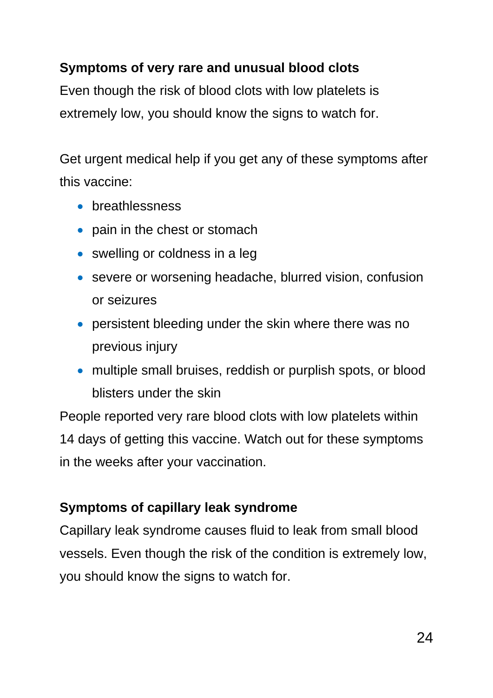### **Symptoms of very rare and unusual blood clots**

Even though the risk of blood clots with low platelets is extremely low, you should know the signs to watch for.

Get urgent medical help if you get any of these symptoms after this vaccine:

- **•** breathlessness
- pain in the chest or stomach
- swelling or coldness in a leg
- severe or worsening headache, blurred vision, confusion or seizures
- persistent bleeding under the skin where there was no previous injury
- multiple small bruises, reddish or purplish spots, or blood blisters under the skin

People reported very rare blood clots with low platelets within 14 days of getting this vaccine. Watch out for these symptoms in the weeks after your vaccination.

### **Symptoms of capillary leak syndrome**

Capillary leak syndrome causes fluid to leak from small blood vessels. Even though the risk of the condition is extremely low, you should know the signs to watch for.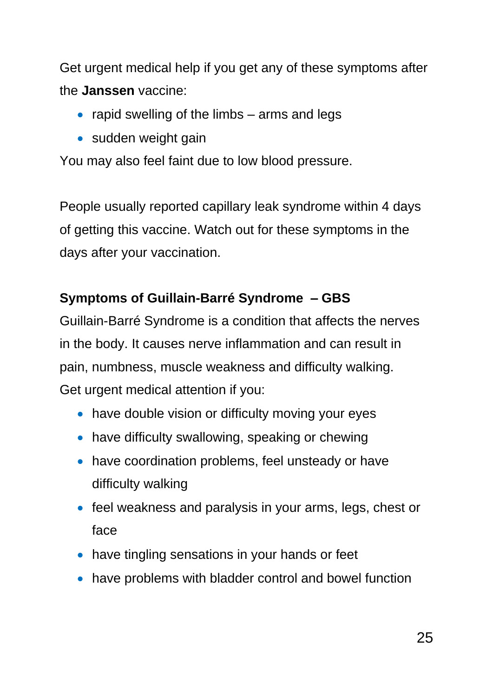Get urgent medical help if you get any of these symptoms after the **Janssen** vaccine:

- rapid swelling of the limbs  $-$  arms and legs
- sudden weight gain

You may also feel faint due to low blood pressure.

People usually reported capillary leak syndrome within 4 days of getting this vaccine. Watch out for these symptoms in the days after your vaccination.

### **Symptoms of Guillain-Barré Syndrome – GBS**

Guillain-Barré Syndrome is a condition that affects the nerves in the body. It causes nerve inflammation and can result in pain, numbness, muscle weakness and difficulty walking. Get urgent medical attention if you:

- have double vision or difficulty moving your eyes
- have difficulty swallowing, speaking or chewing
- have coordination problems, feel unsteady or have difficulty walking
- feel weakness and paralysis in your arms, legs, chest or face
- have tingling sensations in your hands or feet
- have problems with bladder control and bowel function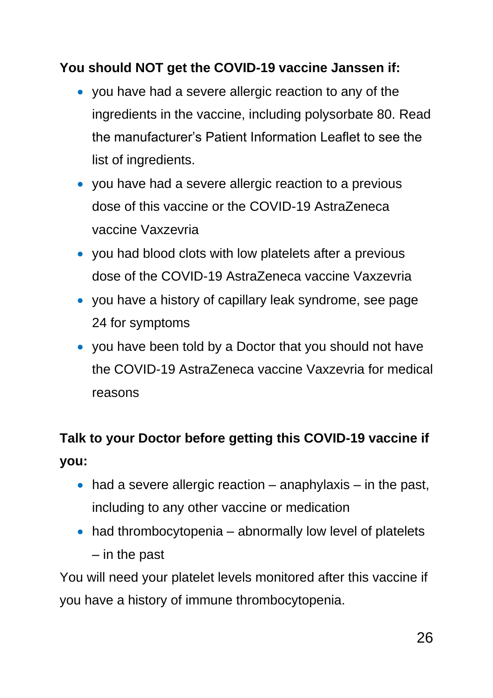#### **You should NOT get the COVID-19 vaccine Janssen if:**

- you have had a severe allergic reaction to any of the ingredients in the vaccine, including polysorbate 80. Read the manufacturer's Patient Information Leaflet to see the list of ingredients.
- you have had a severe allergic reaction to a previous dose of this vaccine or the COVID-19 AstraZeneca vaccine Vaxzevria
- you had blood clots with low platelets after a previous dose of the COVID-19 AstraZeneca vaccine Vaxzevria
- you have a history of capillary leak syndrome, see page 24 for symptoms
- you have been told by a Doctor that you should not have the COVID-19 AstraZeneca vaccine Vaxzevria for medical reasons

# **Talk to your Doctor before getting this COVID-19 vaccine if you:**

- $\bullet$  had a severe allergic reaction anaphylaxis in the past, including to any other vaccine or medication
- had thrombocytopenia abnormally low level of platelets – in the past

You will need your platelet levels monitored after this vaccine if you have a history of immune thrombocytopenia.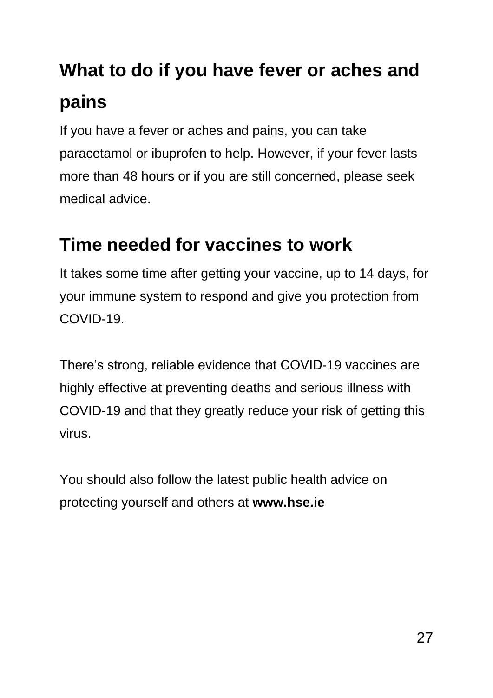# **What to do if you have fever or aches and pains**

If you have a fever or aches and pains, you can take paracetamol or ibuprofen to help. However, if your fever lasts more than 48 hours or if you are still concerned, please seek medical advice.

# **Time needed for vaccines to work**

It takes some time after getting your vaccine, up to 14 days, for your immune system to respond and give you protection from COVID-19.

There's strong, reliable evidence that COVID-19 vaccines are highly effective at preventing deaths and serious illness with COVID-19 and that they greatly reduce your risk of getting this virus.

You should also follow the latest public health advice on protecting yourself and others at **[www.hse.ie](http://www.hse.ie/)**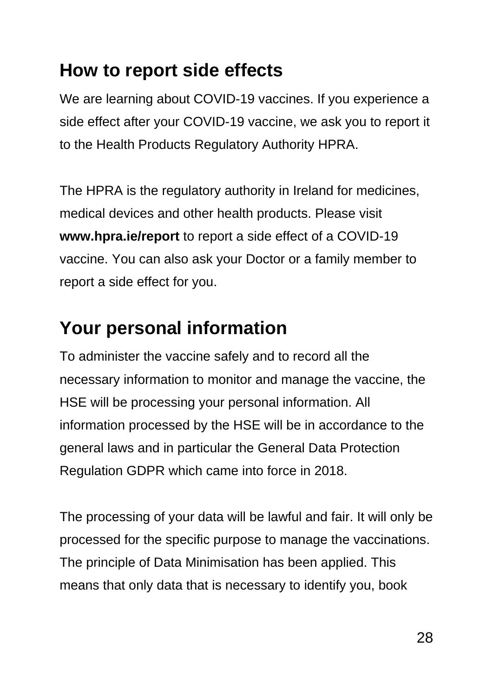# **How to report side effects**

We are learning about COVID-19 vaccines. If you experience a side effect after your COVID-19 vaccine, we ask you to report it to the Health Products Regulatory Authority HPRA.

The HPRA is the regulatory authority in Ireland for medicines, medical devices and other health products. Please visit **[www.hpra.ie/report](http://www.hpra.ie/report)** to report a side effect of a COVID-19 vaccine. You can also ask your Doctor or a family member to report a side effect for you.

# **Your personal information**

To administer the vaccine safely and to record all the necessary information to monitor and manage the vaccine, the HSE will be processing your personal information. All information processed by the HSE will be in accordance to the general laws and in particular the General Data Protection Regulation GDPR which came into force in 2018.

The processing of your data will be lawful and fair. It will only be processed for the specific purpose to manage the vaccinations. The principle of Data Minimisation has been applied. This means that only data that is necessary to identify you, book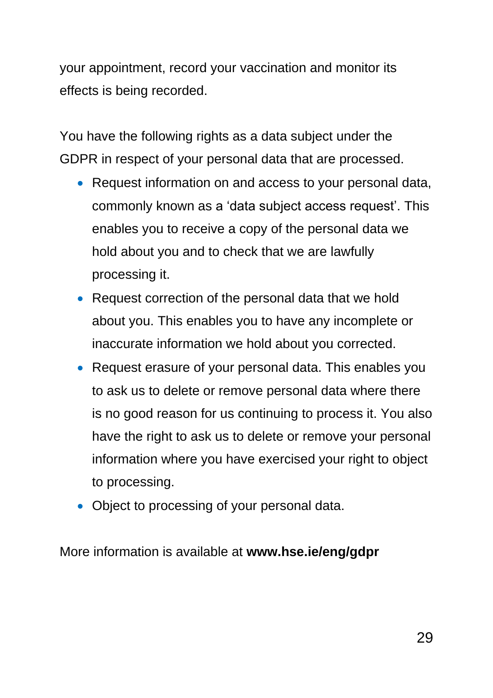your appointment, record your vaccination and monitor its effects is being recorded.

You have the following rights as a data subject under the GDPR in respect of your personal data that are processed.

- Request information on and access to your personal data, commonly known as a 'data subject access request'. This enables you to receive a copy of the personal data we hold about you and to check that we are lawfully processing it.
- Request correction of the personal data that we hold about you. This enables you to have any incomplete or inaccurate information we hold about you corrected.
- Request erasure of your personal data. This enables you to ask us to delete or remove personal data where there is no good reason for us continuing to process it. You also have the right to ask us to delete or remove your personal information where you have exercised your right to object to processing.
- Object to processing of your personal data.

More information is available at **[www.hse.ie/eng/gdpr](http://www.hse.ie/eng/gdpr)**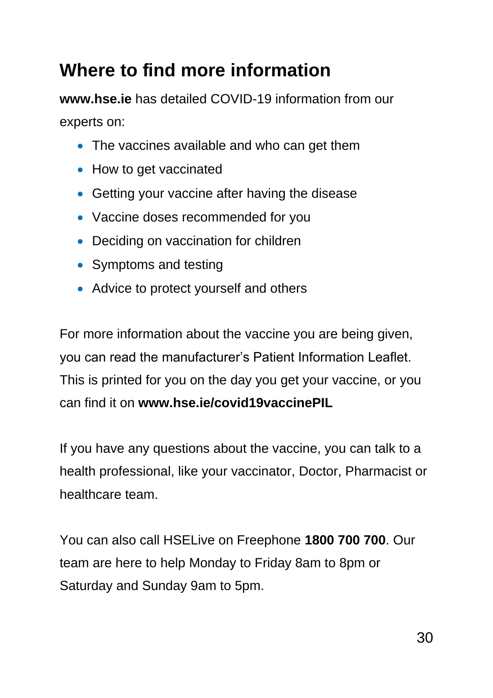# **Where to find more information**

**ww[w.hse.ie](https://www.hse.ie/eng/)** has detailed COVID-19 information from our experts on:

- The vaccines available and who can get them
- How to get vaccinated
- Getting your vaccine after having the disease
- Vaccine doses recommended for you
- Deciding on vaccination for children
- Symptoms and testing
- Advice to protect yourself and others

For more information about the vaccine you are being given, you can read the manufacturer's Patient Information Leaflet. This is printed for you on the day you get your vaccine, or you can find it on **[www.hse.ie/covid19vaccinePIL](https://www.hse.ie/eng/services/news/newsfeatures/covid19-updates/covid-19-vaccine-materials/covid-19-vaccine-patient-information.html)**

If you have any questions about the vaccine, you can talk to a health professional, like your vaccinator, Doctor, Pharmacist or healthcare team.

You can also call HSELive on Freephone **1800 700 700**. Our team are here to help Monday to Friday 8am to 8pm or Saturday and Sunday 9am to 5pm.